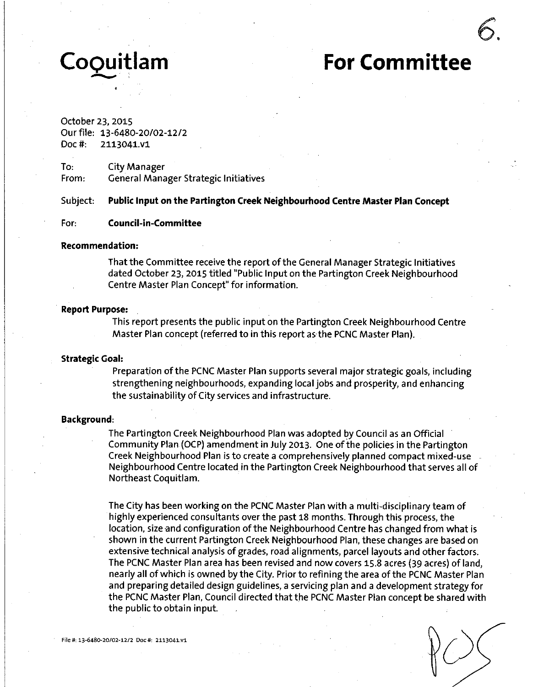# **CoQuitlam For Committee**

# October 23, 2015

Our file: 13-6480-20/02-12/2 Doc#: 2113041.V1

To: City Manager From: General Manager Strategic Initiatives

**Subject: Public Input on the Partington Creek Neighbourhood Centre Master Plan Concept** 

#### **For: Council-in-Committee**

#### **Recommendation:**

That the Committee receive the report of the General Manager Strategic Initiatives dated October 23, 2015 titled "Public Input on the Partington Creek Neighbourhood Centre Master Plan Concept" for information.

#### **Report Purpose:**

This report presents the public input on the Partington Creek Neighbourhood Centre Master Plan concept (referred to in this report as the PCNC Master Plan).

#### **Strategic Goal:**

Preparation of the PCNC Master Plan supports several major strategic goals, including strengthening neighbourhoods, expanding local jobs and prosperity, and enhancing the sustainability of City services and infrastructure.

#### **Background:**

The Partington Creek Neighbourhood Plan was adopted by Council as an Official Community Plan (OCP) amendment in July 2013. One of the policies in the Partington Creek Neighbourhood Plan is to create a comprehensively planned compact mixed-use Neighbourhood Centre located in the Partington Creek Neighbourhood that serves all of Northeast Coquitlam.

The City has been working on the PCNC Master Plan with a multi-disciplinary team of highly experienced consultants over the past 18 months. Through this process, the location, size and configuration of the Neighbourhood Centre has changed from what is shown in the current Partington Creek Neighbourhood Plan, these changes are based on extensive technical analysis of grades, road alignments, parcel layouts and other factors. The PCNC Master Plan area has been revised and now covers 15.8 acres (39 acres) of land, nearly all of which is owned by the City. Prior to refining the area of the PCNC Master Plan and preparing detailed design guidelines, a servicing plan and a development strategy for the PCNC Master Plan, Council directed that the PCNC Master Plan concept be shared with the public to obtain input.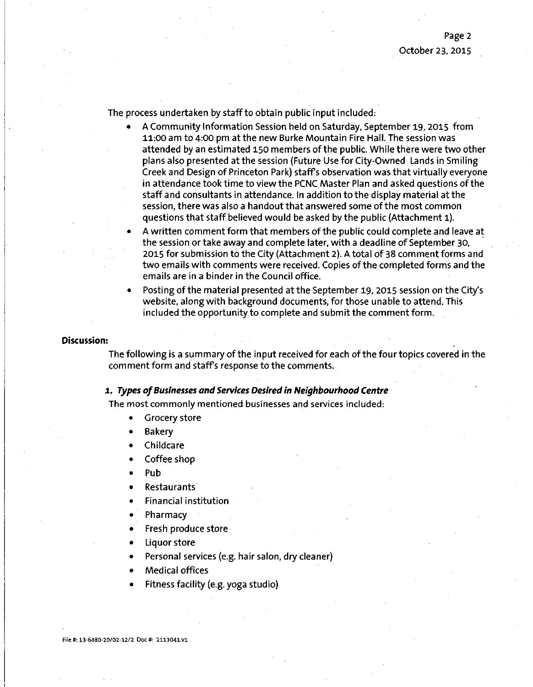The process undertaken by staff to obtain public input included:

- A Community Information Session held on Saturday, September 19, 2015 from 11:00 am to 4:00 pm at the new Burke Mountain Fire Hall. The session was attended by an estimated 150 members of the public. While there were two other plans also presented at the session (Future Use for City-Owned Lands in Smiling Creek and Design of Princeton Park) staffs observation was that virtually everyone in attendance took time to view the PCNC Master Plan and asked questions of the staff and consultants in attendance. In addition to the display material at the session, there was also a handout that answered some of the most common questions that staff believed would be asked by the public (Attachment 1).
- A written comment form that members of the public could complete and leave at the session or take away and complete later, with a deadline of September 30, 2015 for submission to the City (Attachment 2). A total of 38 comment forms and two emails with comments were received. Copies of the completed forms and the emails are in a binder in the Council office.
- Posting of the material presented at the September 19, 2015 session on the City's website, along with background documents, for those unable to attend. This included the opportunity to complete and submit the comment form.

#### **Discussion:**

The following is a summary of the input received for each of the four topics covered in the comment form and staffs response to the comments.

#### **1. Types of Businesses and Services Desired in Neighbourhood Centre**

The most commonly mentioned businesses and services included:

- Grocery store
- Bakery
- Childcare
- Coffee shop
- Pub
- Restaurants
- Financial institution
- Pharmacy
- Fresh produce store
- Liquor store
- Personal services (e.g. hair salon, dry cleaner)
- Medical offices
- Fitness facility (e.g. yoga studio)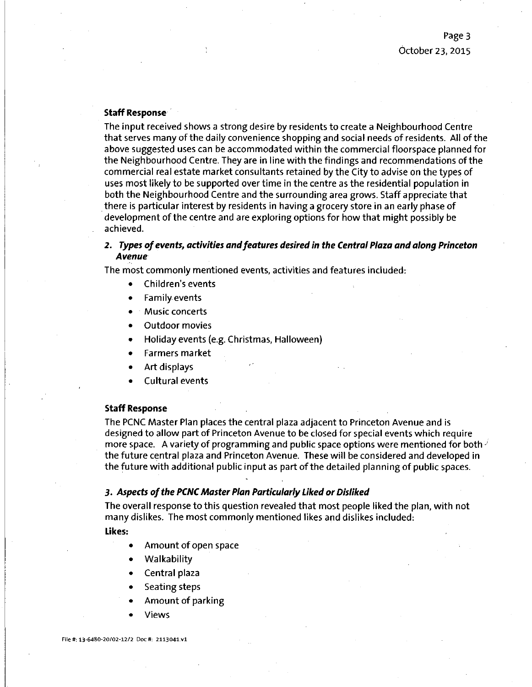#### **Staff Response**

The input received shows a strong desire by residents to create a Neighbourhood Centre that serves many of the daily convenience shopping and social needs of residents. All of the above suggested uses can be accommodated within the commercial floorspace planned for the Neighbourhood Centre. They are in line with the findings and recommendations of the commercial real estate market consultants retained by the City to advise on the types of uses most likely to be supported over time in the centre as the residential population in both the Neighbourhood Centre and the surrounding area grows. Staff appreciate that there is particular interest by residents in having a grocery store in an early phase of development of the centre and are exploring options for how that might possibly be achieved.

#### **2. Types of events, activities and features desired in the Central Piaza and along Princeton Avenue**

The most commonly mentioned events, activities and features included:

- Children's events
- Family events
- Music concerts
- Outdoor movies
- Holiday events (e.g. Christmas, Halloween)
- Farmers market
- Art displays
- Cultural events

#### **Staff Response**

The PCNC Master Plan places the central plaza adjacent to Princeton Avenue and is designed to allow part of Princeton Avenue to be closed for special events which require more space. A variety of programming and public space options were mentioned for both  $\ell$ the future central plaza and Princeton Avenue. These will be considered and developed in the future with additional public input as part of the detailed planning of public spaces.

#### **3. Aspects of the PCNC Master Plan Particularly Liked or Disliked**

The overall response to this question revealed that most people liked the plan, with not many dislikes. The most commonly mentioned likes and dislikes included:

**Likes:** 

- Amount of open space
- Walkability
- Central plaza
- Seating steps
- Amount of parking
- Views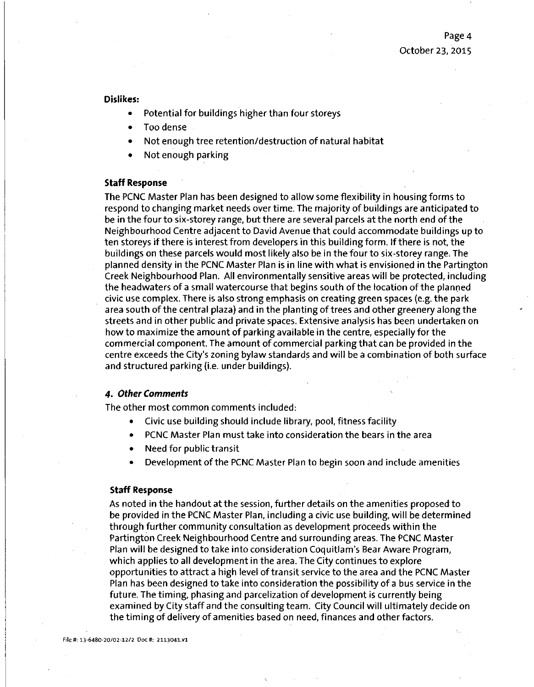**Dislikes:** 

- Potential for buildings higher than four storeys
- Too dense
- Not enough tree retention/destruction of natural habitat
- Not enough parking

#### **Staff Response**

The PCNC Master Plan has been designed to allow some flexibility in housing forms to respond to changing market needs over time. The majority of buildings are anticipated to be in the four to six-storey range, but there are several parcels at the north end of the Neighbourhood Centre adjacent to David Avenue that could accommodate buildings up to ten storeys if there is interest from developers in this building form. If there is not, the buildings on these parcels would most likely also be in the four to six-storey range^ The planned density in the PCNC Master Plan is in line with what is envisioned in the Partington Creek Neighbourhood Plan. All environmentally sensitive areas will be protected, including the headwaters of a small watercourse that begins south of the location of the planned civic use complex. There is also strong emphasis on creating green spaces (e.g. the park area south of the central plaza) and in the planting of trees and other greenery along the streets and in other public and private spaces. Extensive analysis has been undertaken on how to maximize the amount of parking available in the centre, especially for the commercial component. The amount of commercial parking that can be provided in the centre exceeds the City's zoning bylaw standards and will be a combination of both surface and structured parking (i.e. under buildings).

#### **4. Other Comments**

The other most common comments included:

- Civic use building should include library, pool, fitness facility
- PCNC Master Plan must take into consideration the bears in the area
- Need for public transit
- **Development of the PCNC Master Plan to begin soon and include amenities**

#### **Staff Response**

As noted in the handout at the session, further details on the amenities proposed to be provided in the PCNC Master Plan, including a civic use building, will be determined through further community consultation as development proceeds within the Partington Creek Neighbourhood Centre and surrounding areas. The PCNC Master Plan will be designed to take into consideration Coquitlam's Bear Aware Program, which applies to all development in the area. The City continues to explore opportunities to attract a high level of transit service to the area and the PCNC Master Plan has been designed to take into consideration the possibility of a bus service in the future. The timing, phasing and parcelization of development is currently being examined by City staff and the consulting team. City Council will ultimately decide on the timing of delivery of amenities based on need, finances and other factors.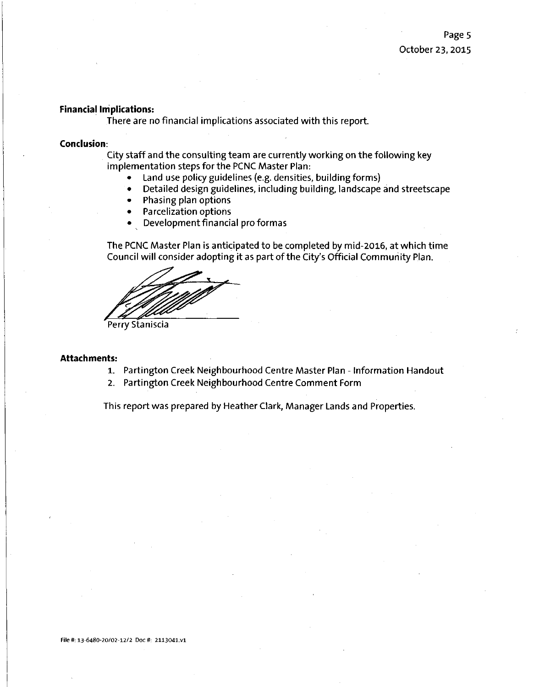#### **Financial impiications:**

There are no financial implications associated with this report.

#### **Conclusion:**

City staff and the consulting team are currently working on the following key implementation steps for the PCNC Master Plan:

- Land use policy guidelines (e.g. densities, building forms)
- Detailed design guidelines, including building, landscape and streetscape
- Phasing plan options
- Parcelization options
- Development financial pro formas

The PCNC Master Plan is anticipated to be completed by mid-2016, at which time Council will consider adopting it as part of the City's Official Community Plan.

Perry Staniscia

#### **Attachments:**

- 1. Partington Creek Neighbourhood Centre Master Plan Information Handout
- 2. Partington Creek Neighbourhood Centre Comment Form

This report was prepared by Heather Clark, Manager Lands and Properties.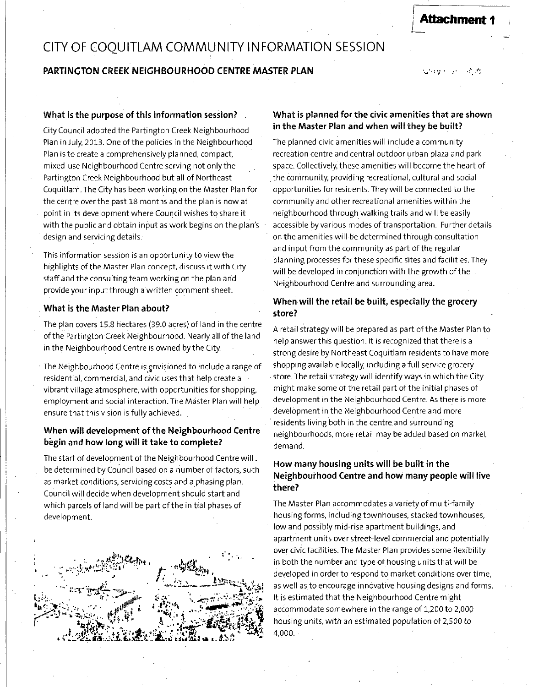# CITY OF COOUITLAM COMMUNITY INFORMATION SESSION

# **PARTINGTON CREEK NEICHBOURHOOD CENTRE MASTER PLAN**

 $\sim 10$  $\Delta \sim 10^{-10}$ 

**Attachment** 

#### What is the purpose of this information session?

City Council adopted the Partington Creek Neighbourhood Plan in July, 2013. One of the policies in the Neighbourhood Plan is to create a comprehensively planned, compact, mixed-use Neighbourhood Centre serving not only the Partington Creek Neighbourhood but all of Northeast Coquitlam.The City has been working on the Master Plan for the centre over the past 18 months and the plan is now at point in its development where Council wishes to share it with the public and obtain input as work begins on the plan's design and servicing details.

This information session is an opportunity to view the highlights of the Master Plan concept, discuss it with City staff and the consulting team working on the plan and provide your input through a written comment sheet.

#### **What is the Master Plan about?**

The plan covers 15.8 hectares (39.0 acres) of land in the centre of the Partington Creek Neighbourhood. Nearly all of the land in the Neighbourhood Centre is owned.by the City.

The Neighbourhood Centre is envisioned to include a range of residential, commercial, and civic uses that help create a vibrant village atmosphere, with opportunities for shopping, employment and social interaction. The Master Plan will help ensure that this vision is fully achieved.

### **When will development of the Neighbourhood Centre begin and how long will it take to complete?**

The start of development of the Neighbourhood Centre will. be determined by Council based on a number of factors, such as market conditions, servicing costs and a phasing plan. Council will decide when development should start and which parcels of land will be part of the initial phases of development.



#### **What is planned for the civic amenities that are shown in the Master Plan and when will they be built?**

The planned civic amenities will include a community recreation centre and central outdoor urban plaza and park space. Collectively, these amenities will become the heart of the community, providing recreational, cultural and social opportunities for residents. They will be connected to the community and other recreational amenities within the neighbourhood through walking trails and will be easily accessible by various modes of transportation. Further details on the amenities will be determined through consultation and input from the community as part of the regular planning processes for these specific sites and facilities. They will be developed in conjunction with the growth of the Neighbourhood Centre and surrounding area.

## **When will the retail be built, especially the grocery store?**

A retail strategy will be prepared as part of the Master Plan to help answer this question. It is recognized that there is a strong desire by Northeast Coquitlam residents to have more shopping available locally, including a full service grocery store. The retail strategy will identify ways in which the City might make some of the retail part of the initial phases of development in the Neighbourhood Centre. As there is more development in the Neighbourhood Centre and more residents living both in the centre and surrounding neighbourhoods, more retail may be added based on market demand.

# How many housing units will be built in the **Neighbourhood Centre and how many people will live there?**

The Master Plan accommodates a variety of multi-family housing forms, including townhouses, stacked townhouses, low and possibly mid-rise apartment buildings, and apartment units over street-level commercial and potentially over civic facilities. The Master Plan provides some flexibility in both the number and type of housing units that will be developed in order to respond to market conditions over time, as well as to encourage innovative housing designs and forms. It is estimated that the Neighbourhood Centre might accommodate somewhere in the range of 1,200 to 2,000 housing units, with an estimated population of 2,500 to 4,000.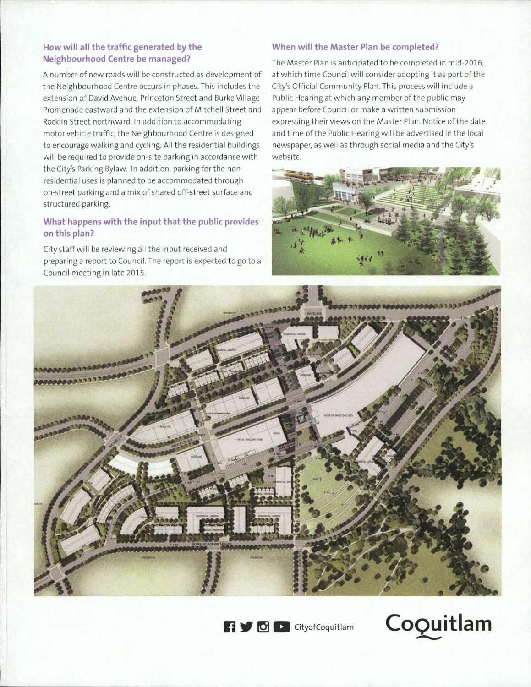# **How will ail the traffic generated by the Neighbourhood Centre be managed?**

A number of new roads will be constructed as development of the Neighbourhood Centre occurs in phases. This includes the extension of David Avenue, Princeton Street and Burke Village Promenade eastward and the extension of Mitchell Street and Rocklin Street northward. In addition to accommodating motor vehicle traffic, the Neighbourhood Centre is designed to encourage walking and cycling. All the residential buildings will be required to provide on-site parking in accordance with the City's Parking Bylaw. In addition, parking for the nonresidential uses is planned to be accommodated through on-street parking and a mix of shared off-street surface and structured parking.

# **What happens with the input that the public provides on this plan?**

City staff will be reviewing all the input received and preparing a report to Council. The report is expected to go to a Council meeting in late 2015.

# When will the Master Plan be completed?

The Master Plan is anticipated to be completed in mid-2015, at which time Council will consider adopting it as part of the City's Official Community Plan. This process will include a Public Hearing at which any member of the public may appear before Council or make a written submission expressing their views on the Master Plan. Notice of the date and time of the Public Hearing will be advertised in the local newspaper, as well as through social media and the City's website.